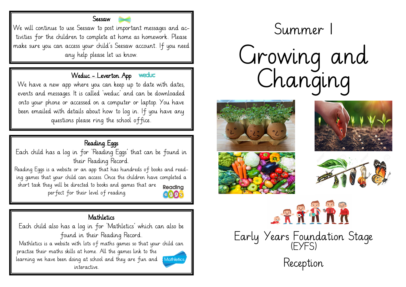

We will continue to use Seesaw to post important messages and activities for the children to complete at home as homework. Please make sure you can access your child's Seesaw account. If you need any help please let us know.

# Weduc - Leverton App

We have a new app where you can keep up to date with dates, events and messages. It is called 'weduc' and can be downloaded onto your phone or accessed on a computer or laptop. You have been emailed with details about how to log in. If you have any questions please ring the school office.

# Reading Eggs

Each child has a log in for 'Reading Eggs' that can be found in their Reading Record.

Reading Eggs is a website or an app that has hundreds of books and reading games that your child can access. Once the children have completed a short task they will be directed to books and games that are Readina perfect for their level of reading. 8993



# **Mathletics**

Each child also has a log in for 'Mathletics' which can also be found in their Reading Record.

Mathletics is a website with lots of maths games so that your child can practise their maths skills at home. All the games link to the learning we have been doing at school and they are fun and interactive.



# n Summer 1 Growing and Changing









Early Years Foundation Stage (EYFS) Reception